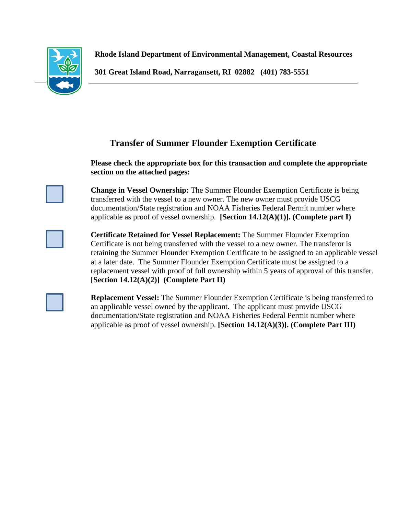

**Rhode Island Department of Environmental Management, Coastal Resources**

**301 Great Island Road, Narragansett, RI 02882 (401) 783-5551**

## **Transfer of Summer Flounder Exemption Certificate**

**Please check the appropriate box for this transaction and complete the appropriate section on the attached pages:**

**Change in Vessel Ownership:** The Summer Flounder Exemption Certificate is being transferred with the vessel to a new owner. The new owner must provide USCG documentation/State registration and NOAA Fisheries Federal Permit number where applicable as proof of vessel ownership. **[Section 14.12(A)(1)]. (Complete part I)**

**Certificate Retained for Vessel Replacement:** The Summer Flounder Exemption Certificate is not being transferred with the vessel to a new owner. The transferor is retaining the Summer Flounder Exemption Certificate to be assigned to an applicable vessel at a later date. The Summer Flounder Exemption Certificate must be assigned to a replacement vessel with proof of full ownership within 5 years of approval of this transfer. **[Section 14.12(A)(2)] (Complete Part II)**

**Replacement Vessel:** The Summer Flounder Exemption Certificate is being transferred to an applicable vessel owned by the applicant. The applicant must provide USCG documentation/State registration and NOAA Fisheries Federal Permit number where applicable as proof of vessel ownership. **[Section 14.12(A)(3)]. (Complete Part III)**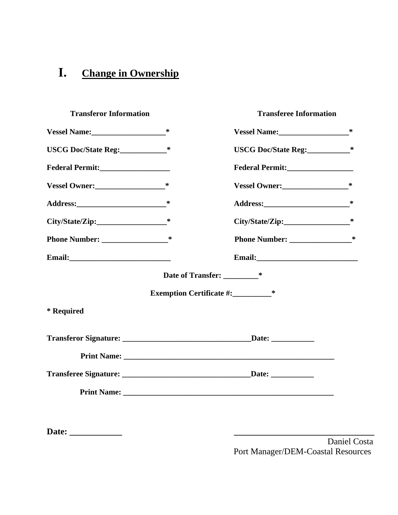## **I. Change in Ownership**

| <b>Transferor Information</b> |        | <b>Transferee Information</b>      |   |  |
|-------------------------------|--------|------------------------------------|---|--|
| Vessel Name:<br><u> </u> *    |        | Vessel Name:<br><u> </u> *         |   |  |
| USCG Doc/State Reg:           | ∗      | USCG Doc/State Reg:______________* |   |  |
|                               |        |                                    |   |  |
|                               | ∗      |                                    | ∗ |  |
|                               | $\ast$ |                                    |   |  |
|                               | $\ast$ |                                    |   |  |
|                               | $\ast$ |                                    |   |  |
|                               |        |                                    |   |  |
|                               |        | Date of Transfer: __________*      |   |  |
|                               |        | <b>Exemption Certificate #:</b>    |   |  |
| * Required                    |        |                                    |   |  |
|                               |        |                                    |   |  |
|                               |        |                                    |   |  |
|                               |        |                                    |   |  |
|                               |        |                                    |   |  |
|                               |        |                                    |   |  |
|                               |        |                                    |   |  |

Daniel Costa Port Manager/DEM-Coastal Resources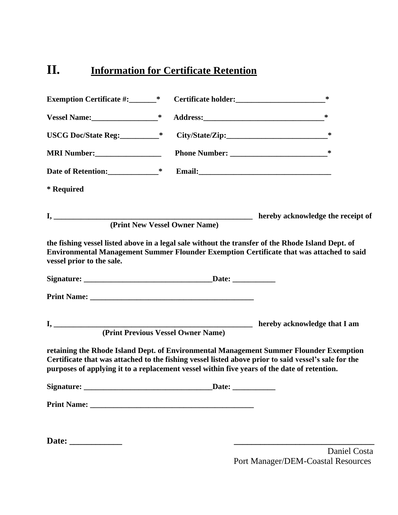## **II. Information for Certificate Retention**

| <b>Exemption Certificate #:</b> *                                                                                                                                                                                                   | Certificate holder:<br><u>Lettificate</u> holder: | ∗                                                                                                                                                                                                                                                   |
|-------------------------------------------------------------------------------------------------------------------------------------------------------------------------------------------------------------------------------------|---------------------------------------------------|-----------------------------------------------------------------------------------------------------------------------------------------------------------------------------------------------------------------------------------------------------|
| Vessel Name:                                                                                                                                                                                                                        |                                                   | $\ast$                                                                                                                                                                                                                                              |
| USCG Doc/State Reg:____________*                                                                                                                                                                                                    |                                                   | ∗                                                                                                                                                                                                                                                   |
| <b>MRI Number:</b> MRI Number:                                                                                                                                                                                                      |                                                   | $\ast$<br><b>Phone Number:</b> <u>Community Community Community Community Community Community Community Community Community Community Community Community Community Community Community Community Community Community Community Community Commu</u> |
|                                                                                                                                                                                                                                     |                                                   |                                                                                                                                                                                                                                                     |
| * Required                                                                                                                                                                                                                          |                                                   |                                                                                                                                                                                                                                                     |
| $I, \underline{\hspace{2cm}}$                                                                                                                                                                                                       |                                                   |                                                                                                                                                                                                                                                     |
|                                                                                                                                                                                                                                     |                                                   | (Print New Vessel Owner Name) hereby acknowledge the receipt of                                                                                                                                                                                     |
| vessel prior to the sale.                                                                                                                                                                                                           |                                                   | Environmental Management Summer Flounder Exemption Certificate that was attached to said                                                                                                                                                            |
| $I, \underline{\hspace{2cm}}$                                                                                                                                                                                                       |                                                   | <b>(Print Previous Vessel Owner Name)</b> hereby acknowledge that I am                                                                                                                                                                              |
| purposes of applying it to a replacement vessel within five years of the date of retention.                                                                                                                                         |                                                   | retaining the Rhode Island Dept. of Environmental Management Summer Flounder Exemption<br>Certificate that was attached to the fishing vessel listed above prior to said vessel's sale for the                                                      |
| Signature: Date: Date:                                                                                                                                                                                                              |                                                   |                                                                                                                                                                                                                                                     |
| <b>Print Name:</b> The Company of the Company of the Company of the Company of the Company of the Company of the Company of the Company of the Company of the Company of the Company of the Company of the Company of the Company o |                                                   |                                                                                                                                                                                                                                                     |
|                                                                                                                                                                                                                                     |                                                   |                                                                                                                                                                                                                                                     |

**Date: \_\_\_\_\_\_\_\_\_\_\_\_ \_\_\_\_\_\_\_\_\_\_\_\_\_\_\_\_\_\_\_\_\_\_\_\_\_\_\_\_\_\_\_\_**

Daniel Costa Port Manager/DEM-Coastal Resources